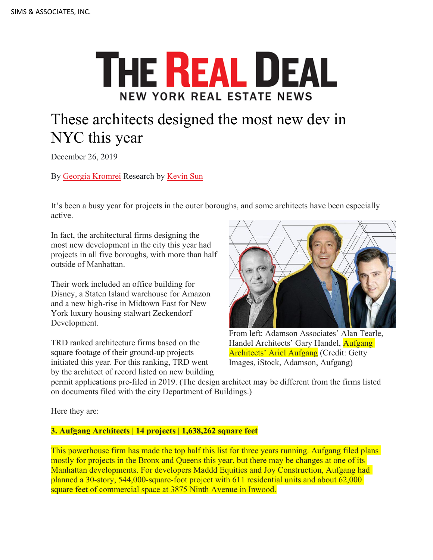## **THE REAL DEAL NEW YORK REAL ESTATE NEWS**

## These architects designed the most new dev in NYC this year

December 26, 2019

By [Georgia Kromrei](https://therealdeal.com/looks/Georgia+Kromrei/by/) Research by [Kevin Sun](https://therealdeal.com/looks/Kevin+Sun/by/)

It's been a busy year for projects in the outer boroughs, and some architects have been especially active.

In fact, the architectural firms designing the most new development in the city this year had projects in all five boroughs, with more than half outside of Manhattan.

Their work included an office building for Disney, a Staten Island warehouse for Amazon and a new high-rise in Midtown East for New York luxury housing stalwart Zeckendorf Development.

TRD ranked architecture firms based on the square footage of their ground-up projects initiated this year. For this ranking, TRD went by the architect of record listed on new building



From left: Adamson Associates' Alan Tearle, Handel Architects' Gary Handel, Aufgang Architects' Ariel Aufgang (Credit: Getty Images, iStock, Adamson, Aufgang)

permit applications pre-filed in 2019. (The design architect may be different from the firms listed on documents filed with the city Department of Buildings.)

Here they are:

## **3. Aufgang Architects | 14 projects | 1,638,262 square feet**

This powerhouse firm has made the top half this list for three years running. Aufgang filed plans mostly for projects in the Bronx and Queens this year, but there may be changes at one of its Manhattan developments. For developers Maddd Equities and Joy Construction, Aufgang had planned a 30-story, 544,000-square-foot project with 611 residential units and about 62,000 square feet of commercial space at 3875 Ninth Avenue in Inwood.